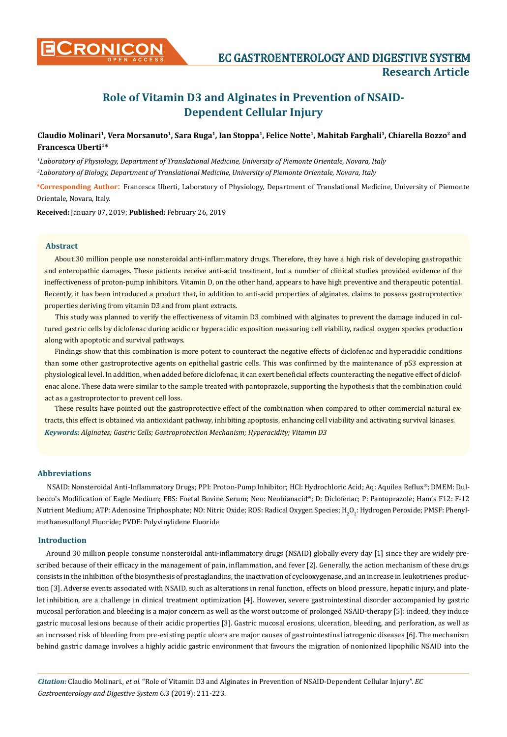

## Claudio Molinari<sup>1</sup>, Vera Morsanuto<sup>1</sup>, Sara Ruga<sup>1</sup>, Ian Stoppa<sup>1</sup>, Felice Notte<sup>1</sup>, Mahitab Farghali<sup>1</sup>, Chiarella Bozzo<sup>2</sup> and **Francesca Uberti1\***

*1 Laboratory of Physiology, Department of Translational Medicine, University of Piemonte Orientale, Novara, Italy 2 Laboratory of Biology, Department of Translational Medicine, University of Piemonte Orientale, Novara, Italy*

**\*Corresponding Author**: Francesca Uberti, Laboratory of Physiology, Department of Translational Medicine, University of Piemonte Orientale, Novara, Italy.

**Received:** January 07, 2019; **Published:** February 26, 2019

## **Abstract**

About 30 million people use nonsteroidal anti-inflammatory drugs. Therefore, they have a high risk of developing gastropathic and enteropathic damages. These patients receive anti-acid treatment, but a number of clinical studies provided evidence of the ineffectiveness of proton-pump inhibitors. Vitamin D, on the other hand, appears to have high preventive and therapeutic potential. Recently, it has been introduced a product that, in addition to anti-acid properties of alginates, claims to possess gastroprotective properties deriving from vitamin D3 and from plant extracts.

This study was planned to verify the effectiveness of vitamin D3 combined with alginates to prevent the damage induced in cultured gastric cells by diclofenac during acidic or hyperacidic exposition measuring cell viability, radical oxygen species production along with apoptotic and survival pathways.

Findings show that this combination is more potent to counteract the negative effects of diclofenac and hyperacidic conditions than some other gastroprotective agents on epithelial gastric cells. This was confirmed by the maintenance of p53 expression at physiological level. In addition, when added before diclofenac, it can exert beneficial effects counteracting the negative effect of diclofenac alone. These data were similar to the sample treated with pantoprazole, supporting the hypothesis that the combination could act as a gastroprotector to prevent cell loss.

*Keywords: Alginates; Gastric Cells; Gastroprotection Mechanism; Hyperacidity; Vitamin D3* These results have pointed out the gastroprotective effect of the combination when compared to other commercial natural extracts, this effect is obtained via antioxidant pathway, inhibiting apoptosis, enhancing cell viability and activating survival kinases.

#### **Abbreviations**

NSAID: Nonsteroidal Anti-Inflammatory Drugs; PPI: Proton-Pump Inhibitor; HCl: Hydrochloric Acid; Aq: Aquilea Reflux®; DMEM: Dulbecco's Modification of Eagle Medium; FBS: Foetal Bovine Serum; Neo: Neobianacid®; D: Diclofenac; P: Pantoprazole; Ham's F12: F-12 Nutrient Medium; ATP: Adenosine Triphosphate; NO: Nitric Oxide; ROS: Radical Oxygen Species; H $_2\rm O_2$ : Hydrogen Peroxide; PMSF: Phenylmethanesulfonyl Fluoride; PVDF: Polyvinylidene Fluoride

## **Introduction**

Around 30 million people consume nonsteroidal anti-inflammatory drugs (NSAID) globally every day [1] since they are widely prescribed because of their efficacy in the management of pain, inflammation, and fever [2]. Generally, the action mechanism of these drugs consists in the inhibition of the biosynthesis of prostaglandins, the inactivation of cyclooxygenase, and an increase in leukotrienes production [3]. Adverse events associated with NSAID, such as alterations in renal function, effects on blood pressure, hepatic injury, and platelet inhibition, are a challenge in clinical treatment optimization [4]. However, severe gastrointestinal disorder accompanied by gastric mucosal perforation and bleeding is a major concern as well as the worst outcome of prolonged NSAID-therapy [5]: indeed, they induce gastric mucosal lesions because of their acidic properties [3]. Gastric mucosal erosions, ulceration, bleeding, and perforation, as well as an increased risk of bleeding from pre-existing peptic ulcers are major causes of gastrointestinal iatrogenic diseases [6]. The mechanism behind gastric damage involves a highly acidic gastric environment that favours the migration of nonionized lipophilic NSAID into the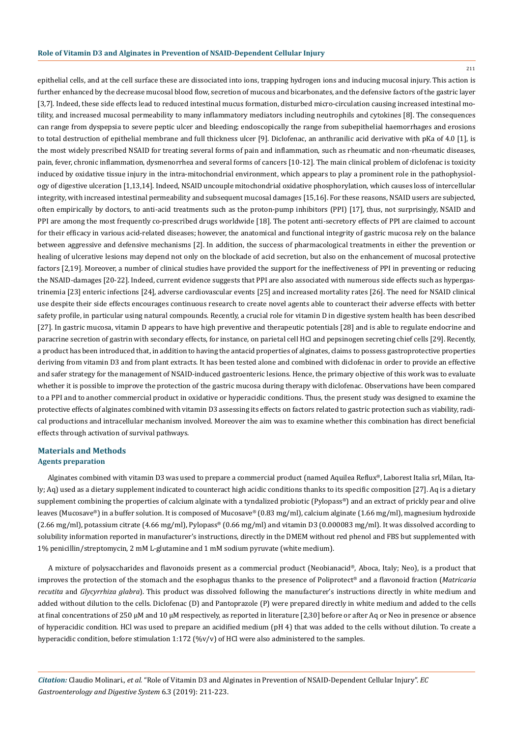211

epithelial cells, and at the cell surface these are dissociated into ions, trapping hydrogen ions and inducing mucosal injury. This action is further enhanced by the decrease mucosal blood flow, secretion of mucous and bicarbonates, and the defensive factors of the gastric layer [3,7]. Indeed, these side effects lead to reduced intestinal mucus formation, disturbed micro-circulation causing increased intestinal motility, and increased mucosal permeability to many inflammatory mediators including neutrophils and cytokines [8]. The consequences can range from dyspepsia to severe peptic ulcer and bleeding; endoscopically the range from subepithelial haemorrhages and erosions to total destruction of epithelial membrane and full thickness ulcer [9]. Diclofenac, an anthranilic acid derivative with pKa of 4.0 [1], is the most widely prescribed NSAID for treating several forms of pain and inflammation, such as rheumatic and non-rheumatic diseases, pain, fever, chronic inflammation, dysmenorrhea and several forms of cancers [10-12]. The main clinical problem of diclofenac is toxicity induced by oxidative tissue injury in the intra-mitochondrial environment, which appears to play a prominent role in the pathophysiology of digestive ulceration [1,13,14]. Indeed, NSAID uncouple mitochondrial oxidative phosphorylation, which causes loss of intercellular integrity, with increased intestinal permeability and subsequent mucosal damages [15,16]. For these reasons, NSAID users are subjected, often empirically by doctors, to anti-acid treatments such as the proton-pump inhibitors (PPI) [17], thus, not surprisingly, NSAID and PPI are among the most frequently co-prescribed drugs worldwide [18]. The potent anti-secretory effects of PPI are claimed to account for their efficacy in various acid-related diseases; however, the anatomical and functional integrity of gastric mucosa rely on the balance between aggressive and defensive mechanisms [2]. In addition, the success of pharmacological treatments in either the prevention or healing of ulcerative lesions may depend not only on the blockade of acid secretion, but also on the enhancement of mucosal protective factors [2,19]. Moreover, a number of clinical studies have provided the support for the ineffectiveness of PPI in preventing or reducing the NSAID-damages [20-22]. Indeed, current evidence suggests that PPI are also associated with numerous side effects such as hypergastrinemia [23] enteric infections [24], adverse cardiovascular events [25] and increased mortality rates [26]. The need for NSAID clinical use despite their side effects encourages continuous research to create novel agents able to counteract their adverse effects with better safety profile, in particular using natural compounds. Recently, a crucial role for vitamin D in digestive system health has been described [27]. In gastric mucosa, vitamin D appears to have high preventive and therapeutic potentials [28] and is able to regulate endocrine and paracrine secretion of gastrin with secondary effects, for instance, on parietal cell HCl and pepsinogen secreting chief cells [29]. Recently, a product has been introduced that, in addition to having the antacid properties of alginates, claims to possess gastroprotective properties deriving from vitamin D3 and from plant extracts. It has been tested alone and combined with diclofenac in order to provide an effective and safer strategy for the management of NSAID-induced gastroenteric lesions. Hence, the primary objective of this work was to evaluate whether it is possible to improve the protection of the gastric mucosa during therapy with diclofenac. Observations have been compared to a PPI and to another commercial product in oxidative or hyperacidic conditions. Thus, the present study was designed to examine the protective effects of alginates combined with vitamin D3 assessing its effects on factors related to gastric protection such as viability, radical productions and intracellular mechanism involved. Moreover the aim was to examine whether this combination has direct beneficial effects through activation of survival pathways.

## **Materials and Methods Agents preparation**

Alginates combined with vitamin D3 was used to prepare a commercial product (named Aquilea Reflux®, Laborest Italia srl, Milan, Italy; Aq) used as a dietary supplement indicated to counteract high acidic conditions thanks to its specific composition [27]. Aq is a dietary supplement combining the properties of calcium alginate with a tyndalized probiotic (Pylopass®) and an extract of prickly pear and olive leaves (Mucosave®) in a buffer solution. It is composed of Mucosave® (0.83 mg/ml), calcium alginate (1.66 mg/ml), magnesium hydroxide  $(2.66 \text{ mg/ml})$ , potassium citrate  $(4.66 \text{ mg/ml})$ , Pylopass®  $(0.66 \text{ mg/ml})$  and vitamin D3  $(0.000083 \text{ mg/ml})$ . It was dissolved according to solubility information reported in manufacturer's instructions, directly in the DMEM without red phenol and FBS but supplemented with 1% penicillin/streptomycin, 2 mM L-glutamine and 1 mM sodium pyruvate (white medium).

A mixture of polysaccharides and flavonoids present as a commercial product (Neobianacid®, Aboca, Italy; Neo), is a product that improves the protection of the stomach and the esophagus thanks to the presence of Poliprotect® and a flavonoid fraction (*Matricaria recutita* and *Glycyrrhiza glabra*). This product was dissolved following the manufacturer's instructions directly in white medium and added without dilution to the cells. Diclofenac (D) and Pantoprazole (P) were prepared directly in white medium and added to the cells at final concentrations of 250  $\mu$ M and 10  $\mu$ M respectively, as reported in literature [2,30] before or after Aq or Neo in presence or absence of hyperacidic condition. HCl was used to prepare an acidified medium (pH 4) that was added to the cells without dilution. To create a hyperacidic condition, before stimulation  $1:172$  (%v/v) of HCl were also administered to the samples.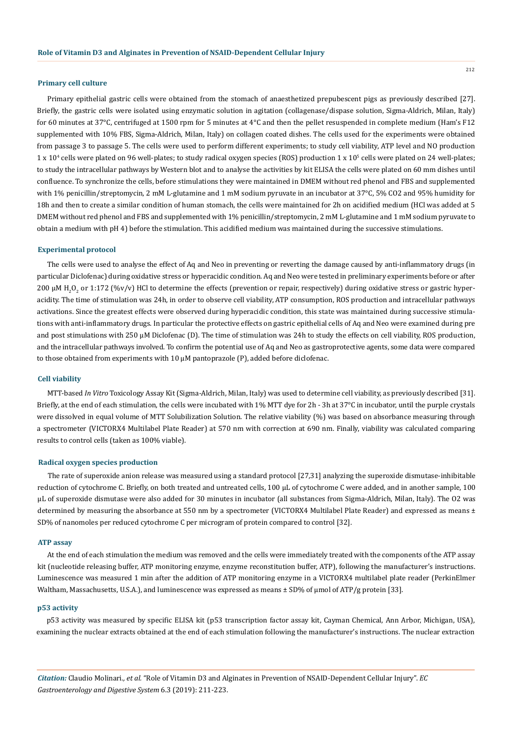#### **Primary cell culture**

Primary epithelial gastric cells were obtained from the stomach of anaesthetized prepubescent pigs as previously described [27]. Briefly, the gastric cells were isolated using enzymatic solution in agitation (collagenase/dispase solution, Sigma-Aldrich, Milan, Italy) for 60 minutes at 37°C, centrifuged at 1500 rpm for 5 minutes at 4°C and then the pellet resuspended in complete medium (Ham's F12 supplemented with 10% FBS, Sigma-Aldrich, Milan, Italy) on collagen coated dishes. The cells used for the experiments were obtained from passage 3 to passage 5. The cells were used to perform different experiments; to study cell viability, ATP level and NO production 1 x 10<sup>4</sup> cells were plated on 96 well-plates; to study radical oxygen species (ROS) production 1 x 10<sup>5</sup> cells were plated on 24 well-plates; to study the intracellular pathways by Western blot and to analyse the activities by kit ELISA the cells were plated on 60 mm dishes until confluence. To synchronize the cells, before stimulations they were maintained in DMEM without red phenol and FBS and supplemented with 1% penicillin/streptomycin, 2 mM L-glutamine and 1 mM sodium pyruvate in an incubator at 37°C, 5% CO2 and 95% humidity for 18h and then to create a similar condition of human stomach, the cells were maintained for 2h on acidified medium (HCl was added at 5 DMEM without red phenol and FBS and supplemented with 1% penicillin/streptomycin, 2 mM L-glutamine and 1 mM sodium pyruvate to obtain a medium with pH 4) before the stimulation. This acidified medium was maintained during the successive stimulations.

#### **Experimental protocol**

The cells were used to analyse the effect of Aq and Neo in preventing or reverting the damage caused by anti-inflammatory drugs (in particular Diclofenac) during oxidative stress or hyperacidic condition. Aq and Neo were tested in preliminary experiments before or after 200 μM H<sub>2</sub>O<sub>2</sub> or 1:172 (%v/v) HCl to determine the effects (prevention or repair, respectively) during oxidative stress or gastric hyperacidity. The time of stimulation was 24h, in order to observe cell viability, ATP consumption, ROS production and intracellular pathways activations. Since the greatest effects were observed during hyperacidic condition, this state was maintained during successive stimulations with anti-inflammatory drugs. In particular the protective effects on gastric epithelial cells of Aq and Neo were examined during pre and post stimulations with 250 µM Diclofenac (D). The time of stimulation was 24h to study the effects on cell viability, ROS production, and the intracellular pathways involved. To confirm the potential use of Aq and Neo as gastroprotective agents, some data were compared to those obtained from experiments with 10 µM pantoprazole (P), added before diclofenac.

#### **Cell viability**

MTT-based *In Vitro* Toxicology Assay Kit (Sigma-Aldrich, Milan, Italy) was used to determine cell viability, as previously described [31]. Briefly, at the end of each stimulation, the cells were incubated with 1% MTT dye for 2h - 3h at 37°C in incubator, until the purple crystals were dissolved in equal volume of MTT Solubilization Solution. The relative viability (%) was based on absorbance measuring through a spectrometer (VICTORX4 Multilabel Plate Reader) at 570 nm with correction at 690 nm. Finally, viability was calculated comparing results to control cells (taken as 100% viable).

## **Radical oxygen species production**

The rate of superoxide anion release was measured using a standard protocol [27,31] analyzing the superoxide dismutase-inhibitable reduction of cytochrome C. Briefly, on both treated and untreated cells, 100 μL of cytochrome C were added, and in another sample, 100 μL of superoxide dismutase were also added for 30 minutes in incubator (all substances from Sigma-Aldrich, Milan, Italy). The O2 was determined by measuring the absorbance at 550 nm by a spectrometer (VICTORX4 Multilabel Plate Reader) and expressed as means ± SD% of nanomoles per reduced cytochrome C per microgram of protein compared to control [32].

#### **ATP assay**

At the end of each stimulation the medium was removed and the cells were immediately treated with the components of the ATP assay kit (nucleotide releasing buffer, ATP monitoring enzyme, enzyme reconstitution buffer, ATP), following the manufacturer's instructions. Luminescence was measured 1 min after the addition of ATP monitoring enzyme in a VICTORX4 multilabel plate reader (PerkinElmer Waltham, Massachusetts, U.S.A.), and luminescence was expressed as means ± SD% of µmol of ATP/g protein [33].

#### **p53 activity**

p53 activity was measured by specific ELISA kit (p53 transcription factor assay kit, Cayman Chemical, Ann Arbor, Michigan, USA), examining the nuclear extracts obtained at the end of each stimulation following the manufacturer's instructions. The nuclear extraction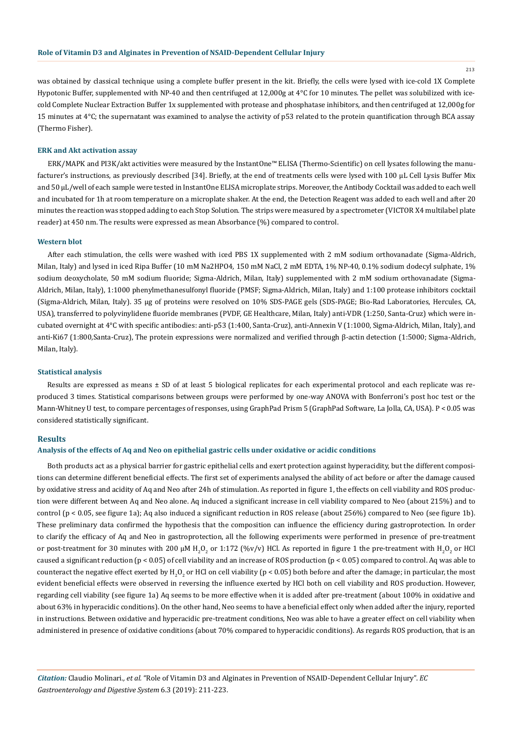was obtained by classical technique using a complete buffer present in the kit. Briefly, the cells were lysed with ice-cold 1X Complete Hypotonic Buffer, supplemented with NP-40 and then centrifuged at 12,000g at 4°C for 10 minutes. The pellet was solubilized with icecold Complete Nuclear Extraction Buffer 1x supplemented with protease and phosphatase inhibitors, and then centrifuged at 12,000g for

#### **ERK and Akt activation assay**

(Thermo Fisher).

ERK/MAPK and PI3K/akt activities were measured by the InstantOne™ ELISA (Thermo-Scientific) on cell lysates following the manufacturer's instructions, as previously described [34]. Briefly, at the end of treatments cells were lysed with 100 μL Cell Lysis Buffer Mix and 50 μL/well of each sample were tested in InstantOne ELISA microplate strips. Moreover, the Antibody Cocktail was added to each well and incubated for 1h at room temperature on a microplate shaker. At the end, the Detection Reagent was added to each well and after 20 minutes the reaction was stopped adding to each Stop Solution. The strips were measured by a spectrometer (VICTOR X4 multilabel plate reader) at 450 nm. The results were expressed as mean Absorbance (%) compared to control.

15 minutes at 4°C; the supernatant was examined to analyse the activity of p53 related to the protein quantification through BCA assay

#### **Western blot**

After each stimulation, the cells were washed with iced PBS 1X supplemented with 2 mM sodium orthovanadate (Sigma-Aldrich, Milan, Italy) and lysed in iced Ripa Buffer (10 mM Na2HPO4, 150 mM NaCl, 2 mM EDTA, 1% NP-40, 0.1% sodium dodecyl sulphate, 1% sodium deoxycholate, 50 mM sodium fluoride; Sigma-Aldrich, Milan, Italy) supplemented with 2 mM sodium orthovanadate (Sigma-Aldrich, Milan, Italy), 1:1000 phenylmethanesulfonyl fluoride (PMSF; Sigma-Aldrich, Milan, Italy) and 1:100 protease inhibitors cocktail (Sigma-Aldrich, Milan, Italy). 35 μg of proteins were resolved on 10% SDS-PAGE gels (SDS-PAGE; Bio-Rad Laboratories, Hercules, CA, USA), transferred to polyvinylidene fluoride membranes (PVDF, GE Healthcare, Milan, Italy) anti-VDR (1:250, Santa-Cruz) which were incubated overnight at 4°C with specific antibodies: anti-p53 (1:400, Santa-Cruz), anti-Annexin V (1:1000, Sigma-Aldrich, Milan, Italy), and anti-Ki67 (1:800,Santa-Cruz), The protein expressions were normalized and verified through β-actin detection (1:5000; Sigma-Aldrich, Milan, Italy).

#### **Statistical analysis**

Results are expressed as means ± SD of at least 5 biological replicates for each experimental protocol and each replicate was reproduced 3 times. Statistical comparisons between groups were performed by one-way ANOVA with Bonferroni's post hoc test or the Mann-Whitney U test, to compare percentages of responses, using GraphPad Prism 5 (GraphPad Software, La Jolla, CA, USA). P < 0.05 was considered statistically significant.

#### **Results**

#### **Analysis of the effects of Aq and Neo on epithelial gastric cells under oxidative or acidic conditions**

Both products act as a physical barrier for gastric epithelial cells and exert protection against hyperacidity, but the different compositions can determine different beneficial effects. The first set of experiments analysed the ability of act before or after the damage caused by oxidative stress and acidity of Aq and Neo after 24h of stimulation. As reported in figure 1, the effects on cell viability and ROS production were different between Aq and Neo alone. Aq induced a significant increase in cell viability compared to Neo (about 215%) and to control (p < 0.05, see figure 1a); Aq also induced a significant reduction in ROS release (about 256%) compared to Neo (see figure 1b). These preliminary data confirmed the hypothesis that the composition can influence the efficiency during gastroprotection. In order to clarify the efficacy of Aq and Neo in gastroprotection, all the following experiments were performed in presence of pre-treatment or post-treatment for 30 minutes with 200 μM H<sub>2</sub>O<sub>2</sub> or 1:172 (%v/v) HCl. As reported in figure 1 the pre-treatment with H<sub>2</sub>O<sub>2</sub> or HCl caused a significant reduction (p < 0.05) of cell viability and an increase of ROS production (p < 0.05) compared to control. Aq was able to counteract the negative effect exerted by H<sub>2</sub>O<sub>2</sub> or HCl on cell viability (p < 0.05) both before and after the damage; in particular, the most evident beneficial effects were observed in reversing the influence exerted by HCl both on cell viability and ROS production. However, regarding cell viability (see figure 1a) Aq seems to be more effective when it is added after pre-treatment (about 100% in oxidative and about 63% in hyperacidic conditions). On the other hand, Neo seems to have a beneficial effect only when added after the injury, reported in instructions. Between oxidative and hyperacidic pre-treatment conditions, Neo was able to have a greater effect on cell viability when administered in presence of oxidative conditions (about 70% compared to hyperacidic conditions). As regards ROS production, that is an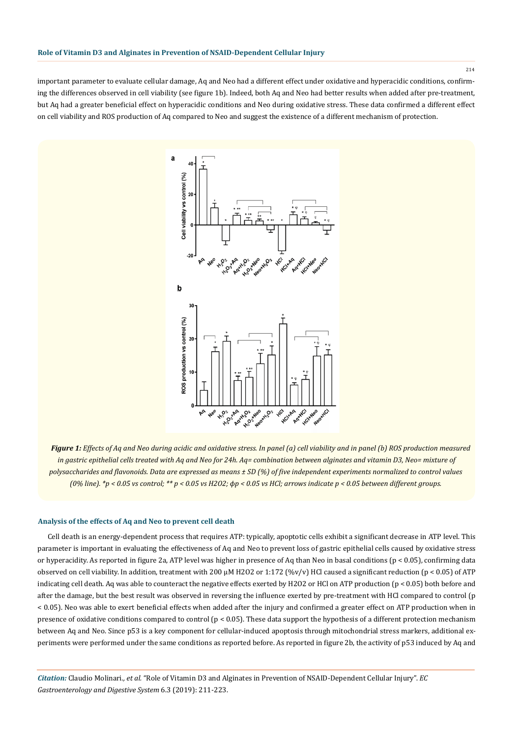important parameter to evaluate cellular damage, Aq and Neo had a different effect under oxidative and hyperacidic conditions, confirming the differences observed in cell viability (see figure 1b). Indeed, both Aq and Neo had better results when added after pre-treatment, but Aq had a greater beneficial effect on hyperacidic conditions and Neo during oxidative stress. These data confirmed a different effect on cell viability and ROS production of Aq compared to Neo and suggest the existence of a different mechanism of protection.



*Figure 1: Effects of Aq and Neo during acidic and oxidative stress. In panel (a) cell viability and in panel (b) ROS production measured in gastric epithelial cells treated with Aq and Neo for 24h. Aq= combination between alginates and vitamin D3, Neo= mixture of polysaccharides and flavonoids. Data are expressed as means ± SD (%) of five independent experiments normalized to control values (0% line). \*p < 0.05 vs control; \*\* p < 0.05 vs H2O2; ϕp < 0.05 vs HCl; arrows indicate p < 0.05 between different groups.*

## **Analysis of the effects of Aq and Neo to prevent cell death**

Cell death is an energy-dependent process that requires ATP: typically, apoptotic cells exhibit a significant decrease in ATP level. This parameter is important in evaluating the effectiveness of Aq and Neo to prevent loss of gastric epithelial cells caused by oxidative stress or hyperacidity. As reported in figure 2a, ATP level was higher in presence of Aq than Neo in basal conditions (p < 0.05), confirming data observed on cell viability. In addition, treatment with 200 μM H2O2 or 1:172 (%v/v) HCl caused a significant reduction (p < 0.05) of ATP indicating cell death. Aq was able to counteract the negative effects exerted by H2O2 or HCl on ATP production (p < 0.05) both before and after the damage, but the best result was observed in reversing the influence exerted by pre-treatment with HCl compared to control (p < 0.05). Neo was able to exert beneficial effects when added after the injury and confirmed a greater effect on ATP production when in presence of oxidative conditions compared to control (p < 0.05). These data support the hypothesis of a different protection mechanism between Aq and Neo. Since p53 is a key component for cellular-induced apoptosis through mitochondrial stress markers, additional experiments were performed under the same conditions as reported before. As reported in figure 2b, the activity of p53 induced by Aq and

*Citation:* Claudio Molinari*., et al.* "Role of Vitamin D3 and Alginates in Prevention of NSAID-Dependent Cellular Injury". *EC Gastroenterology and Digestive System* 6.3 (2019): 211-223.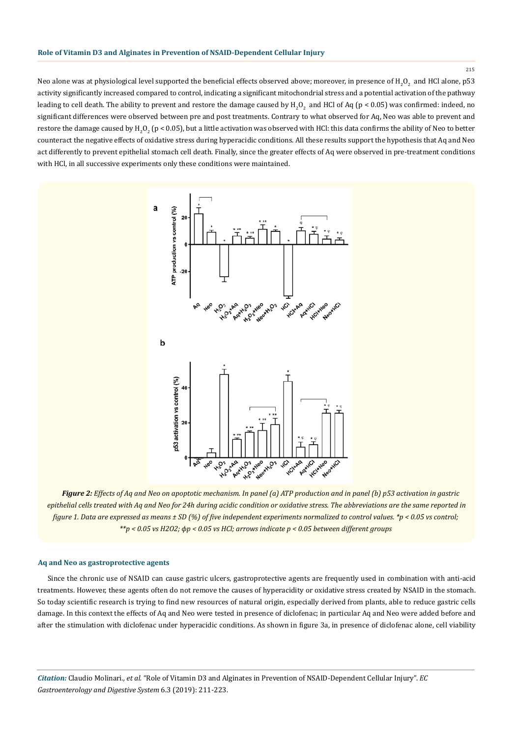Neo alone was at physiological level supported the beneficial effects observed above; moreover, in presence of  $\rm H_2O_2$  and HCl alone, p53 activity significantly increased compared to control, indicating a significant mitochondrial stress and a potential activation of the pathway leading to cell death. The ability to prevent and restore the damage caused by  $\rm H_2O_2$  and HCl of Aq (p < 0.05) was confirmed: indeed, no significant differences were observed between pre and post treatments. Contrary to what observed for Aq, Neo was able to prevent and restore the damage caused by H<sub>2</sub>O<sub>2</sub> (p < 0.05), but a little activation was observed with HCl: this data confirms the ability of Neo to better counteract the negative effects of oxidative stress during hyperacidic conditions. All these results support the hypothesis that Aq and Neo act differently to prevent epithelial stomach cell death. Finally, since the greater effects of Aq were observed in pre-treatment conditions with HCl, in all successive experiments only these conditions were maintained.



*Figure 2: Effects of Aq and Neo on apoptotic mechanism. In panel (a) ATP production and in panel (b) p53 activation in gastric epithelial cells treated with Aq and Neo for 24h during acidic condition or oxidative stress. The abbreviations are the same reported in figure 1. Data are expressed as means ± SD (%) of five independent experiments normalized to control values. \*p < 0.05 vs control; \*\*p < 0.05 vs H2O2; ϕp < 0.05 vs HCl; arrows indicate p < 0.05 between different groups*

## **Aq and Neo as gastroprotective agents**

Since the chronic use of NSAID can cause gastric ulcers, gastroprotective agents are frequently used in combination with anti-acid treatments. However, these agents often do not remove the causes of hyperacidity or oxidative stress created by NSAID in the stomach. So today scientific research is trying to find new resources of natural origin, especially derived from plants, able to reduce gastric cells damage. In this context the effects of Aq and Neo were tested in presence of diclofenac; in particular Aq and Neo were added before and after the stimulation with diclofenac under hyperacidic conditions. As shown in figure 3a, in presence of diclofenac alone, cell viability

*Citation:* Claudio Molinari*., et al.* "Role of Vitamin D3 and Alginates in Prevention of NSAID-Dependent Cellular Injury". *EC Gastroenterology and Digestive System* 6.3 (2019): 211-223.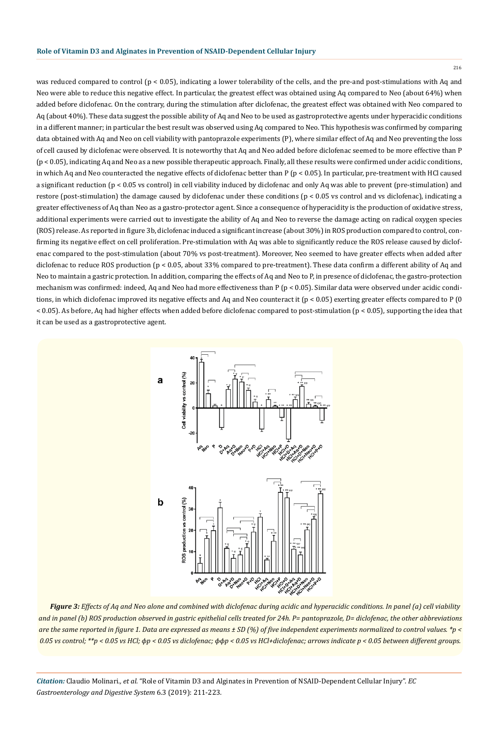was reduced compared to control ( $p < 0.05$ ), indicating a lower tolerability of the cells, and the pre-and post-stimulations with Aq and Neo were able to reduce this negative effect. In particular, the greatest effect was obtained using Aq compared to Neo (about 64%) when added before diclofenac. On the contrary, during the stimulation after diclofenac, the greatest effect was obtained with Neo compared to Aq (about 40%). These data suggest the possible ability of Aq and Neo to be used as gastroprotective agents under hyperacidic conditions in a different manner; in particular the best result was observed using Aq compared to Neo. This hypothesis was confirmed by comparing data obtained with Aq and Neo on cell viability with pantoprazole experiments (P), where similar effect of Aq and Neo preventing the loss of cell caused by diclofenac were observed. It is noteworthy that Aq and Neo added before diclofenac seemed to be more effective than P (p < 0.05), indicating Aq and Neo as a new possible therapeutic approach. Finally, all these results were confirmed under acidic conditions, in which Aq and Neo counteracted the negative effects of diclofenac better than P ( $p < 0.05$ ). In particular, pre-treatment with HCl caused a significant reduction (p < 0.05 vs control) in cell viability induced by diclofenac and only Aq was able to prevent (pre-stimulation) and restore (post-stimulation) the damage caused by diclofenac under these conditions (p < 0.05 vs control and vs diclofenac), indicating a greater effectiveness of Aq than Neo as a gastro-protector agent. Since a consequence of hyperacidity is the production of oxidative stress, additional experiments were carried out to investigate the ability of Aq and Neo to reverse the damage acting on radical oxygen species (ROS) release. As reported in figure 3b, diclofenac induced a significant increase (about 30%) in ROS production compared to control, confirming its negative effect on cell proliferation. Pre-stimulation with Aq was able to significantly reduce the ROS release caused by diclofenac compared to the post-stimulation (about 70% vs post-treatment). Moreover, Neo seemed to have greater effects when added after diclofenac to reduce ROS production (p < 0.05, about 33% compared to pre-treatment). These data confirm a different ability of Aq and Neo to maintain a gastric protection. In addition, comparing the effects of Aq and Neo to P, in presence of diclofenac, the gastro-protection mechanism was confirmed: indeed, Aq and Neo had more effectiveness than P (p < 0.05). Similar data were observed under acidic conditions, in which diclofenac improved its negative effects and Aq and Neo counteract it (p < 0.05) exerting greater effects compared to P (0 < 0.05). As before, Aq had higher effects when added before diclofenac compared to post-stimulation (p < 0.05), supporting the idea that it can be used as a gastroprotective agent.



*Figure 3: Effects of Aq and Neo alone and combined with diclofenac during acidic and hyperacidic conditions. In panel (a) cell viability and in panel (b) ROS production observed in gastric epithelial cells treated for 24h. P= pantoprazole, D= diclofenac, the other abbreviations are the same reported in figure 1. Data are expressed as means ± SD (%) of five independent experiments normalized to control values. \*p < 0.05 vs control; \*\*p < 0.05 vs HCl; ϕp < 0.05 vs diclofenac; ϕϕp < 0.05 vs HCl+diclofenac; arrows indicate p < 0.05 between different groups.*

*Citation:* Claudio Molinari*., et al.* "Role of Vitamin D3 and Alginates in Prevention of NSAID-Dependent Cellular Injury". *EC Gastroenterology and Digestive System* 6.3 (2019): 211-223.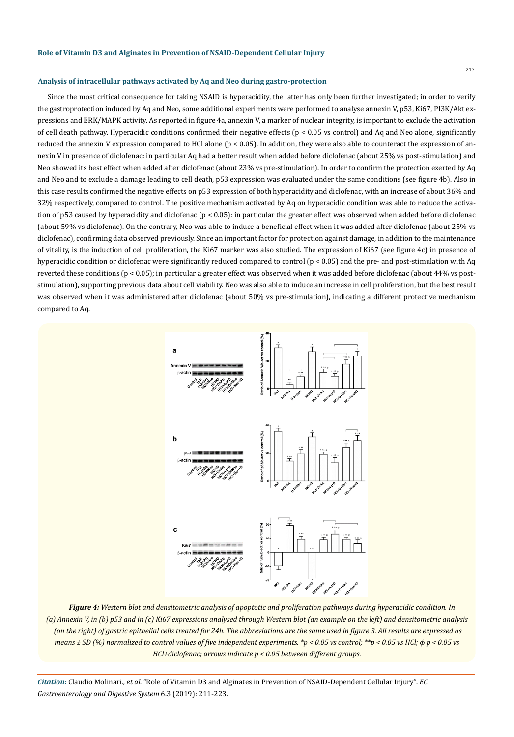#### **Analysis of intracellular pathways activated by Aq and Neo during gastro-protection**

Since the most critical consequence for taking NSAID is hyperacidity, the latter has only been further investigated; in order to verify the gastroprotection induced by Aq and Neo, some additional experiments were performed to analyse annexin V, p53, Ki67, PI3K/Akt expressions and ERK/MAPK activity. As reported in figure 4a, annexin V, a marker of nuclear integrity, is important to exclude the activation of cell death pathway. Hyperacidic conditions confirmed their negative effects (p < 0.05 vs control) and Aq and Neo alone, significantly reduced the annexin V expression compared to HCl alone (p < 0.05). In addition, they were also able to counteract the expression of annexin V in presence of diclofenac: in particular Aq had a better result when added before diclofenac (about 25% vs post-stimulation) and Neo showed its best effect when added after diclofenac (about 23% vs pre-stimulation). In order to confirm the protection exerted by Aq and Neo and to exclude a damage leading to cell death, p53 expression was evaluated under the same conditions (see figure 4b). Also in this case results confirmed the negative effects on p53 expression of both hyperacidity and diclofenac, with an increase of about 36% and 32% respectively, compared to control. The positive mechanism activated by Aq on hyperacidic condition was able to reduce the activation of p53 caused by hyperacidity and diclofenac (p < 0.05): in particular the greater effect was observed when added before diclofenac (about 59% vs diclofenac). On the contrary, Neo was able to induce a beneficial effect when it was added after diclofenac (about 25% vs diclofenac), confirming data observed previously. Since an important factor for protection against damage, in addition to the maintenance of vitality, is the induction of cell proliferation, the Ki67 marker was also studied. The expression of Ki67 (see figure 4c) in presence of hyperacidic condition or diclofenac were significantly reduced compared to control (p < 0.05) and the pre- and post-stimulation with Aq reverted these conditions (p < 0.05); in particular a greater effect was observed when it was added before diclofenac (about 44% vs poststimulation), supporting previous data about cell viability. Neo was also able to induce an increase in cell proliferation, but the best result was observed when it was administered after diclofenac (about 50% vs pre-stimulation), indicating a different protective mechanism compared to Aq.



*Figure 4: Western blot and densitometric analysis of apoptotic and proliferation pathways during hyperacidic condition. In (a) Annexin V, in (b) p53 and in (c) Ki67 expressions analysed through Western blot (an example on the left) and densitometric analysis (on the right) of gastric epithelial cells treated for 24h. The abbreviations are the same used in figure 3. All results are expressed as means ± SD (%) normalized to control values of five independent experiments. \*p < 0.05 vs control; \*\*p < 0.05 vs HCl;*  $\phi$  *p < 0.05 vs HCl+diclofenac; arrows indicate p < 0.05 between different groups.*

*Citation:* Claudio Molinari*., et al.* "Role of Vitamin D3 and Alginates in Prevention of NSAID-Dependent Cellular Injury". *EC Gastroenterology and Digestive System* 6.3 (2019): 211-223.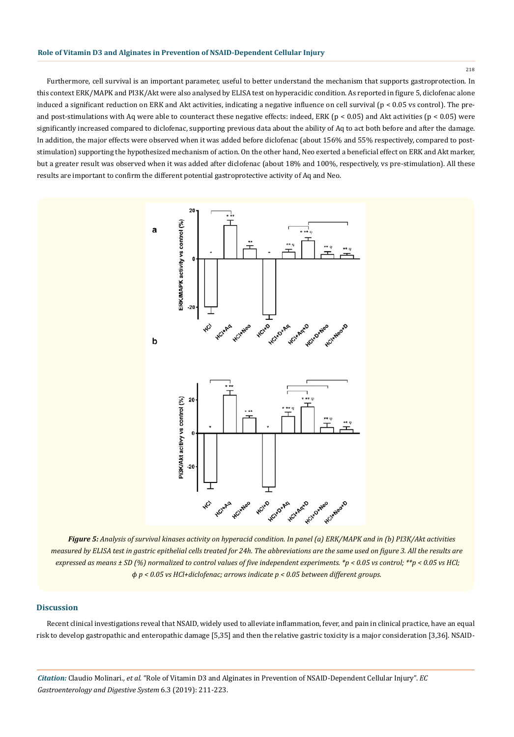Furthermore, cell survival is an important parameter, useful to better understand the mechanism that supports gastroprotection. In this context ERK/MAPK and PI3K/Akt were also analysed by ELISA test on hyperacidic condition. As reported in figure 5, diclofenac alone induced a significant reduction on ERK and Akt activities, indicating a negative influence on cell survival ( $p < 0.05$  vs control). The preand post-stimulations with Aq were able to counteract these negative effects: indeed, ERK ( $p < 0.05$ ) and Akt activities ( $p < 0.05$ ) were significantly increased compared to diclofenac, supporting previous data about the ability of Aq to act both before and after the damage. In addition, the major effects were observed when it was added before diclofenac (about 156% and 55% respectively, compared to poststimulation) supporting the hypothesized mechanism of action. On the other hand, Neo exerted a beneficial effect on ERK and Akt marker, but a greater result was observed when it was added after diclofenac (about 18% and 100%, respectively, vs pre-stimulation). All these results are important to confirm the different potential gastroprotective activity of Aq and Neo.



*Figure 5: Analysis of survival kinases activity on hyperacid condition. In panel (a) ERK/MAPK and in (b) PI3K/Akt activities measured by ELISA test in gastric epithelial cells treated for 24h. The abbreviations are the same used on figure 3. All the results are expressed as means ± SD (%) normalized to control values of five independent experiments. \*p < 0.05 vs control; \*\*p < 0.05 vs HCl; ϕ p < 0.05 vs HCl+diclofenac; arrows indicate p < 0.05 between different groups.*

## **Discussion**

Recent clinical investigations reveal that NSAID, widely used to alleviate inflammation, fever, and pain in clinical practice, have an equal risk to develop gastropathic and enteropathic damage [5,35] and then the relative gastric toxicity is a major consideration [3,36]. NSAID-

*Citation:* Claudio Molinari*., et al.* "Role of Vitamin D3 and Alginates in Prevention of NSAID-Dependent Cellular Injury". *EC Gastroenterology and Digestive System* 6.3 (2019): 211-223.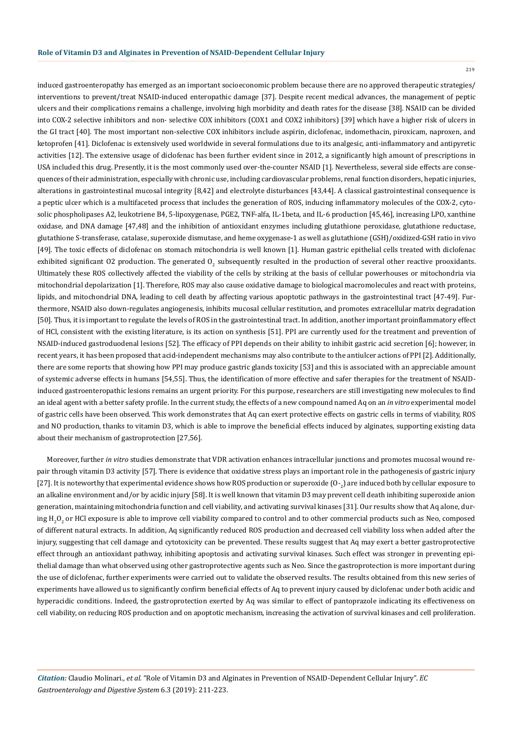induced gastroenteropathy has emerged as an important socioeconomic problem because there are no approved therapeutic strategies/ interventions to prevent/treat NSAID-induced enteropathic damage [37]. Despite recent medical advances, the management of peptic ulcers and their complications remains a challenge, involving high morbidity and death rates for the disease [38]. NSAID can be divided into COX-2 selective inhibitors and non- selective COX inhibitors (COX1 and COX2 inhibitors) [39] which have a higher risk of ulcers in the GI tract [40]. The most important non-selective COX inhibitors include aspirin, diclofenac, indomethacin, piroxicam, naproxen, and ketoprofen [41]. Diclofenac is extensively used worldwide in several formulations due to its analgesic, anti-inflammatory and antipyretic activities [12]. The extensive usage of diclofenac has been further evident since in 2012, a significantly high amount of prescriptions in USA included this drug. Presently, it is the most commonly used over-the-counter NSAID [1]. Nevertheless, several side effects are consequences of their administration, especially with chronic use, including cardiovascular problems, renal function disorders, hepatic injuries, alterations in gastrointestinal mucosal integrity [8,42] and electrolyte disturbances [43,44]. A classical gastrointestinal consequence is a peptic ulcer which is a multifaceted process that includes the generation of ROS, inducing inflammatory molecules of the COX-2, cytosolic phospholipases A2, leukotriene B4, 5-lipoxygenase, PGE2, TNF-alfa, IL-1beta, and IL-6 production [45,46], increasing LPO, xanthine oxidase, and DNA damage [47,48] and the inhibition of antioxidant enzymes including glutathione peroxidase, glutathione reductase, glutathione S-transferase, catalase, superoxide dismutase, and heme oxygenase-1 as well as glutathione (GSH)/oxidized-GSH ratio in vivo [49]. The toxic effects of diclofenac on stomach mitochondria is well known [1]. Human gastric epithelial cells treated with diclofenac exhibited significant O2 production. The generated  $0_{2}$  subsequently resulted in the production of several other reactive prooxidants. Ultimately these ROS collectively affected the viability of the cells by striking at the basis of cellular powerhouses or mitochondria via mitochondrial depolarization [1]. Therefore, ROS may also cause oxidative damage to biological macromolecules and react with proteins, lipids, and mitochondrial DNA, leading to cell death by affecting various apoptotic pathways in the gastrointestinal tract [47-49]. Furthermore, NSAID also down-regulates angiogenesis, inhibits mucosal cellular restitution, and promotes extracellular matrix degradation [50]. Thus, it is important to regulate the levels of ROS in the gastrointestinal tract. In addition, another important proinflammatory effect of HCl, consistent with the existing literature, is its action on synthesis [51]. PPI are currently used for the treatment and prevention of NSAID-induced gastroduodenal lesions [52]. The efficacy of PPI depends on their ability to inhibit gastric acid secretion [6]; however, in recent years, it has been proposed that acid-independent mechanisms may also contribute to the antiulcer actions of PPI [2]. Additionally, there are some reports that showing how PPI may produce gastric glands toxicity [53] and this is associated with an appreciable amount of systemic adverse effects in humans [54,55]. Thus, the identification of more effective and safer therapies for the treatment of NSAIDinduced gastroenteropathic lesions remains an urgent priority. For this purpose, researchers are still investigating new molecules to find an ideal agent with a better safety profile. In the current study, the effects of a new compound named Aq on an *in vitro* experimental model of gastric cells have been observed. This work demonstrates that Aq can exert protective effects on gastric cells in terms of viability, ROS and NO production, thanks to vitamin D3, which is able to improve the beneficial effects induced by alginates, supporting existing data about their mechanism of gastroprotection [27,56].

Moreover, further *in vitro* studies demonstrate that VDR activation enhances intracellular junctions and promotes mucosal wound repair through vitamin D3 activity [57]. There is evidence that oxidative stress plays an important role in the pathogenesis of gastric injury [27]. It is noteworthy that experimental evidence shows how ROS production or superoxide (O-<sub>2</sub>) are induced both by cellular exposure to an alkaline environment and/or by acidic injury [58]. It is well known that vitamin D3 may prevent cell death inhibiting superoxide anion generation, maintaining mitochondria function and cell viability, and activating survival kinases [31]. Our results show that Aq alone, during H<sub>2</sub>O<sub>2</sub> or HCl exposure is able to improve cell viability compared to control and to other commercial products such as Neo, composed of different natural extracts. In addition, Aq significantly reduced ROS production and decreased cell viability loss when added after the injury, suggesting that cell damage and cytotoxicity can be prevented. These results suggest that Aq may exert a better gastroprotective effect through an antioxidant pathway, inhibiting apoptosis and activating survival kinases. Such effect was stronger in preventing epithelial damage than what observed using other gastroprotective agents such as Neo. Since the gastroprotection is more important during the use of diclofenac, further experiments were carried out to validate the observed results. The results obtained from this new series of experiments have allowed us to significantly confirm beneficial effects of Aq to prevent injury caused by diclofenac under both acidic and hyperacidic conditions. Indeed, the gastroprotection exerted by Aq was similar to effect of pantoprazole indicating its effectiveness on cell viability, on reducing ROS production and on apoptotic mechanism, increasing the activation of survival kinases and cell proliferation.

*Citation:* Claudio Molinari*., et al.* "Role of Vitamin D3 and Alginates in Prevention of NSAID-Dependent Cellular Injury". *EC Gastroenterology and Digestive System* 6.3 (2019): 211-223.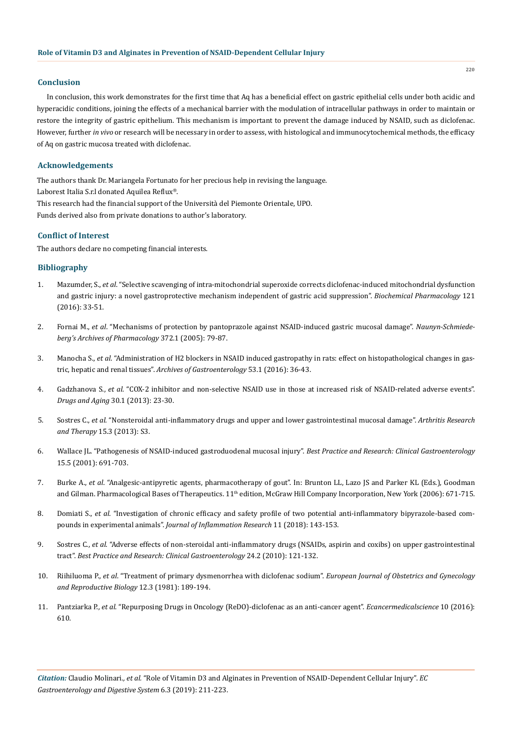#### **Conclusion**

In conclusion, this work demonstrates for the first time that Aq has a beneficial effect on gastric epithelial cells under both acidic and hyperacidic conditions, joining the effects of a mechanical barrier with the modulation of intracellular pathways in order to maintain or restore the integrity of gastric epithelium. This mechanism is important to prevent the damage induced by NSAID, such as diclofenac. However, further *in vivo* or research will be necessary in order to assess, with histological and immunocytochemical methods, the efficacy of Aq on gastric mucosa treated with diclofenac.

#### **Acknowledgements**

The authors thank Dr. Mariangela Fortunato for her precious help in revising the language. Laborest Italia S.r.l donated Aquilea Reflux®. This research had the financial support of the Università del Piemonte Orientale, UPO. Funds derived also from private donations to author's laboratory.

#### **Conflict of Interest**

The authors declare no competing financial interests.

## **Bibliography**

- 1. Mazumder, S., *et al*[. "Selective scavenging of intra-mitochondrial superoxide corrects diclofenac-induced mitochondrial dysfunction](https://www.ncbi.nlm.nih.gov/pubmed/27693316) [and gastric injury: a novel gastroprotective mechanism independent of gastric acid suppression".](https://www.ncbi.nlm.nih.gov/pubmed/27693316) *Biochemical Pharmacology* 121 [\(2016\): 33-51.](https://www.ncbi.nlm.nih.gov/pubmed/27693316)
- 2. Fornai M., *et al*[. "Mechanisms of protection by pantoprazole against NSAID-induced gastric mucosal damage".](https://www.ncbi.nlm.nih.gov/pubmed/16080005) *Naunyn-Schmiede[berg's Archives of Pharmacology](https://www.ncbi.nlm.nih.gov/pubmed/16080005)* 372.1 (2005): 79-87.
- 3. Manocha S., *et al*[. "Administration of H2 blockers in NSAID induced gastropathy in rats: effect on histopathological changes in gas](https://www.ncbi.nlm.nih.gov/pubmed/27281503)tric, hepatic and renal tissues". *[Archives of Gastroenterology](https://www.ncbi.nlm.nih.gov/pubmed/27281503)* 53.1 (2016): 36-43.
- 4. Gadzhanova S., *et al*[. "COX-2 inhibitor and non-selective NSAID use in those at increased risk of NSAID-related adverse events".](https://www.ncbi.nlm.nih.gov/pubmed/23179898) *[Drugs and Aging](https://www.ncbi.nlm.nih.gov/pubmed/23179898)* 30.1 (2013): 23-30.
- 5. Sostres C., *et al*[. "Nonsteroidal anti-inflammatory drugs and upper and lower gastrointestinal mucosal damage".](https://www.ncbi.nlm.nih.gov/pmc/articles/PMC3890944/) *Arthritis Research and Therapy* [15.3 \(2013\): S3.](https://www.ncbi.nlm.nih.gov/pmc/articles/PMC3890944/)
- 6. [Wallace JL. "Pathogenesis of NSAID-induced gastroduodenal mucosal injury".](https://www.ncbi.nlm.nih.gov/pubmed/11566035) *Best Practice and Research: Clinical Gastroenterology*  [15.5 \(2001\): 691-703.](https://www.ncbi.nlm.nih.gov/pubmed/11566035)
- 7. Burke A., *et al*. "Analgesic-antipyretic agents, pharmacotherapy of gout". In: Brunton LL, Lazo JS and Parker KL (Eds.), Goodman and Gilman. Pharmacological Bases of Therapeutics.  $11<sup>th</sup>$  edition, McGraw Hill Company Incorporation, New York (2006): 671-715.
- 8. Domiati S., *et al*[. "Investigation of chronic efficacy and safety profile of two potential anti-inflammatory bipyrazole-based com](https://www.ncbi.nlm.nih.gov/pubmed/29662323)pounds in experimental animals". *[Journal of Inflammation Research](https://www.ncbi.nlm.nih.gov/pubmed/29662323)* 11 (2018): 143-153.
- 9. Sostres C., *et al*[. "Adverse effects of non-steroidal anti-inflammatory drugs \(NSAIDs, aspirin and coxibs\) on upper gastrointestinal](https://www.ncbi.nlm.nih.gov/pubmed/20227026) tract". *[Best Practice and Research: Clinical Gastroenterology](https://www.ncbi.nlm.nih.gov/pubmed/20227026)* 24.2 (2010): 121-132.
- 10. Riihiluoma P., *et al*[. "Treatment of primary dysmenorrhea with diclofenac sodium".](https://www.ncbi.nlm.nih.gov/pubmed/7028529) *European Journal of Obstetrics and Gynecology [and Reproductive Biology](https://www.ncbi.nlm.nih.gov/pubmed/7028529)* 12.3 (1981): 189-194.
- 11. Pantziarka P., *et al*[. "Repurposing Drugs in Oncology \(ReDO\)-diclofenac as an anti-cancer agent".](https://www.ncbi.nlm.nih.gov/pubmed/26823679) *Ecancermedicalscience* 10 (2016): [610.](https://www.ncbi.nlm.nih.gov/pubmed/26823679)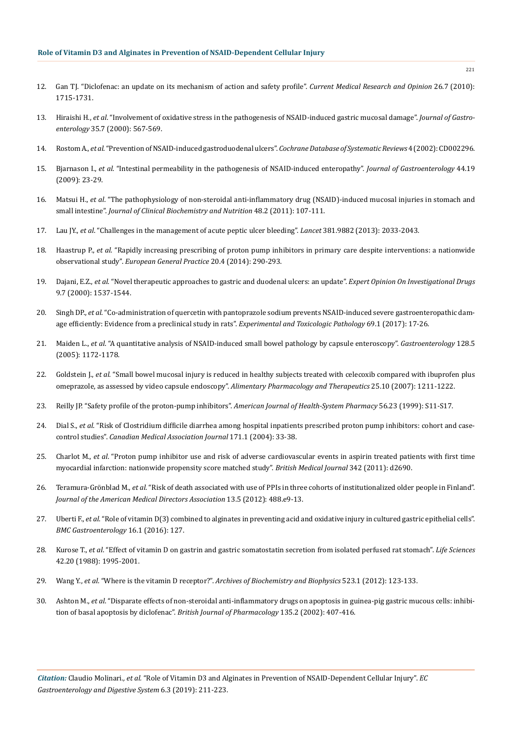- 12. [Gan TJ. "Diclofenac: an update on its mechanism of action and safety profile".](https://www.ncbi.nlm.nih.gov/pubmed/20470236) *Current Medical Research and Opinion* 26.7 (2010): [1715-1731.](https://www.ncbi.nlm.nih.gov/pubmed/20470236)
- 13. Hiraishi H., *et al*[. "Involvement of oxidative stress in the pathogenesis of NSAID-induced gastric mucosal damage".](https://www.ncbi.nlm.nih.gov/pubmed/10905368) *Journal of Gastroenterology* [35.7 \(2000\): 567-569.](https://www.ncbi.nlm.nih.gov/pubmed/10905368)
- 14. Rostom A., *et al*[. "Prevention of NSAID-induced gastroduodenal ulcers".](https://www.ncbi.nlm.nih.gov/pubmed/12519573) *Cochrane Database of Systematic Reviews* 4 (2002): CD002296.
- 15. Bjarnason I., *et al*[. "Intestinal permeability in the pathogenesis of NSAID-induced enteropathy".](https://www.ncbi.nlm.nih.gov/pubmed/19148789) *Journal of Gastroenterology* 44.19 [\(2009\): 23-29.](https://www.ncbi.nlm.nih.gov/pubmed/19148789)
- 16. Matsui H., *et al*[. "The pathophysiology of non-steroidal anti-inflammatory drug \(NSAID\)-induced mucosal injuries in stomach and](https://www.ncbi.nlm.nih.gov/pmc/articles/PMC3045681/) small intestine". *[Journal of Clinical Biochemistry and Nutrition](https://www.ncbi.nlm.nih.gov/pmc/articles/PMC3045681/)* 48.2 (2011): 107-111.
- 17. Lau JY., *et al*[. "Challenges in the management of acute peptic ulcer bleeding".](https://www.ncbi.nlm.nih.gov/pubmed/23746903) *Lancet* 381.9882 (2013): 2033-2043.
- 18. Haastrup P., *et al*[. "Rapidly increasing prescribing of proton pump inhibitors in primary care despite interventions: a nationwide](https://www.ncbi.nlm.nih.gov/pubmed/24779533) observational study". *[European General Practice](https://www.ncbi.nlm.nih.gov/pubmed/24779533)* 20.4 (2014): 290-293.
- 19. Dajani, E.Z., *et al*[. "Novel therapeutic approaches to gastric and duodenal ulcers: an update".](https://www.ncbi.nlm.nih.gov/pubmed/11060758) *Expert Opinion On Investigational Drugs* [9.7 \(2000\): 1537-1544.](https://www.ncbi.nlm.nih.gov/pubmed/11060758)
- 20. Singh DP., *et al*[. "Co-administration of quercetin with pantoprazole sodium prevents NSAID-induced severe gastroenteropathic dam](https://www.ncbi.nlm.nih.gov/pubmed/27780667)[age efficiently: Evidence from a preclinical study in rats".](https://www.ncbi.nlm.nih.gov/pubmed/27780667) *Experimental and Toxicologic Pathology* 69.1 (2017): 17-26.
- 21. Maiden L., *et al*[. "A quantitative analysis of NSAID-induced small bowel pathology by capsule enteroscopy".](https://www.ncbi.nlm.nih.gov/pubmed/15887101) *Gastroenterology* 128.5 [\(2005\): 1172-1178.](https://www.ncbi.nlm.nih.gov/pubmed/15887101)
- 22. Goldstein J., *et al*[. "Small bowel mucosal injury is reduced in healthy subjects treated with celecoxib compared with ibuprofen plus](https://www.ncbi.nlm.nih.gov/pubmed/17451567) [omeprazole, as assessed by video capsule endoscopy".](https://www.ncbi.nlm.nih.gov/pubmed/17451567) *Alimentary Pharmacology and Therapeutics* 25.10 (2007): 1211-1222.
- 23. [Reilly JP. "Safety profile of the proton-pump inhibitors".](https://www.ncbi.nlm.nih.gov/pubmed/10597119) *American Journal of Health-System Pharmacy* 56.23 (1999): S11-S17.
- 24. Dial S., *et al*[. "Risk of Clostridium difficile diarrhea among hospital inpatients prescribed proton pump inhibitors: cohort and case](https://www.ncbi.nlm.nih.gov/pubmed/15238493)control studies". *[Canadian Medical Association Journal](https://www.ncbi.nlm.nih.gov/pubmed/15238493)* 171.1 (2004): 33-38.
- 25. Charlot M., *et al*[. "Proton pump inhibitor use and risk of adverse cardiovascular events in aspirin treated patients with first time](https://www.ncbi.nlm.nih.gov/pubmed/21562004) [myocardial infarction: nationwide propensity score matched study".](https://www.ncbi.nlm.nih.gov/pubmed/21562004) *British Medical Journal* 342 (2011): d2690.
- 26. Teramura-Grönblad M., *et al*[. "Risk of death associated with use of PPIs in three cohorts of institutionalized older people in Finland".](https://www.ncbi.nlm.nih.gov/pubmed/22483648) *[Journal of the American Medical Directors Association](https://www.ncbi.nlm.nih.gov/pubmed/22483648)* 13.5 (2012): 488.e9-13.
- 27. Uberti F., *et al*[. "Role of vitamin D\(3\) combined to alginates in preventing acid and oxidative injury in cultured gastric epithelial cells".](https://www.ncbi.nlm.nih.gov/pubmed/27717330) *[BMC Gastroenterology](https://www.ncbi.nlm.nih.gov/pubmed/27717330)* 16.1 (2016): 127.
- 28. Kurose T., *et al*[. "Effect of vitamin D on gastrin and gastric somatostatin secretion from isolated perfused rat stomach".](https://www.ncbi.nlm.nih.gov/pubmed/2897057) *Life Sciences* [42.20 \(1988\): 1995-2001.](https://www.ncbi.nlm.nih.gov/pubmed/2897057)
- 29. Wang Y., *et al*. "Where is the vitamin D receptor?". *[Archives of Biochemistry and Biophysics](https://www.ncbi.nlm.nih.gov/pubmed/22503810)* 523.1 (2012): 123-133.
- 30. Ashton M., *et al*[. "Disparate effects of non-steroidal anti-inflammatory drugs on apoptosis in guinea-pig gastric mucous cells: inhibi](https://www.ncbi.nlm.nih.gov/pubmed/11815376)[tion of basal apoptosis by diclofenac".](https://www.ncbi.nlm.nih.gov/pubmed/11815376) *British Journal of Pharmacology* 135.2 (2002): 407-416.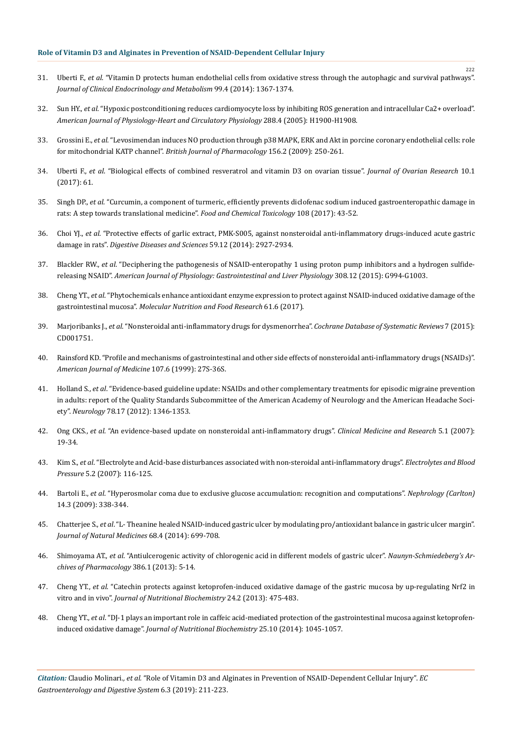- 31. Uberti F., *et al*[. "Vitamin D protects human endothelial cells from oxidative stress through the autophagic and survival pathways".](https://www.ncbi.nlm.nih.gov/pubmed/24285680) *[Journal of Clinical Endocrinology and Metabolism](https://www.ncbi.nlm.nih.gov/pubmed/24285680)* 99.4 (2014): 1367-1374.
- 32. Sun HY., *et al*[. "Hypoxic postconditioning reduces cardiomyocyte loss by inhibiting ROS generation and intracellular Ca2+ overload".](https://www.ncbi.nlm.nih.gov/pubmed/15563525) *[American Journal of Physiology-Heart and Circulatory Physiology](https://www.ncbi.nlm.nih.gov/pubmed/15563525)* 288.4 (2005): H1900-H1908.
- 33. Grossini E., *et al*[. "Levosimendan induces NO production through p38 MAPK, ERK and Akt in porcine coronary endothelial cells: role](https://www.ncbi.nlm.nih.gov/pmc/articles/PMC2697838/) for mitochondrial KATP channel". *[British Journal of Pharmacology](https://www.ncbi.nlm.nih.gov/pmc/articles/PMC2697838/)* 156.2 (2009): 250-261.
- 34. Uberti F., *et al*[. "Biological effects of combined resveratrol and vitamin D3 on ovarian tissue".](https://www.ncbi.nlm.nih.gov/pmc/articles/PMC5602920/) *Journal of Ovarian Research* 10.1 [\(2017\): 61.](https://www.ncbi.nlm.nih.gov/pmc/articles/PMC5602920/)
- 35. Singh DP., *et al*[. "Curcumin, a component of turmeric, efficiently prevents diclofenac sodium induced gastroenteropathic damage in](https://www.ncbi.nlm.nih.gov/pubmed/28733234) [rats: A step towards translational medicine".](https://www.ncbi.nlm.nih.gov/pubmed/28733234) *Food and Chemical Toxicology* 108 (2017): 43-52.
- 36. Choi YJ., *et al*[. "Protective effects of garlic extract, PMK-S005, against nonsteroidal anti-inflammatory drugs-induced acute gastric](https://www.ncbi.nlm.nih.gov/pubmed/25283375) damage in rats". *[Digestive Diseases and Sciences](https://www.ncbi.nlm.nih.gov/pubmed/25283375)* 59.12 (2014): 2927-2934.
- 37. Blackler RW., *et al*[. "Deciphering the pathogenesis of NSAID-enteropathy 1 using proton pump inhibitors and a hydrogen sulfide](https://www.ncbi.nlm.nih.gov/pubmed/25882612)releasing NSAID". *[American Journal of Physiology: Gastrointestinal and Liver Physiology](https://www.ncbi.nlm.nih.gov/pubmed/25882612)* 308.12 (2015): G994-G1003.
- 38. Cheng YT., *et al*[. "Phytochemicals enhance antioxidant enzyme expression to protect against NSAID-induced oxidative damage of the](https://www.ncbi.nlm.nih.gov/pubmed/27883262) gastrointestinal mucosa". *[Molecular Nutrition and Food Research](https://www.ncbi.nlm.nih.gov/pubmed/27883262)* 61.6 (2017).
- 39. Marjoribanks J., *et al*[. "Nonsteroidal anti-inflammatory drugs for dysmenorrhea".](https://www.ncbi.nlm.nih.gov/pubmed/26224322) *Cochrane Database of Systematic Reviews* 7 (2015): [CD001751.](https://www.ncbi.nlm.nih.gov/pubmed/26224322)
- 40. [Rainsford KD. "Profile and mechanisms of gastrointestinal and other side effects of nonsteroidal anti-inflammatory drugs \(NSAIDs\)".](https://www.ncbi.nlm.nih.gov/pubmed/10628591) *[American Journal of Medicine](https://www.ncbi.nlm.nih.gov/pubmed/10628591)* 107.6 (1999): 27S-36S.
- 41. Holland S., *et al*[. "Evidence-based guideline update: NSAIDs and other complementary treatments for episodic migraine prevention](https://www.ncbi.nlm.nih.gov/pubmed/22529203) [in adults: report of the Quality Standards Subcommittee of the American Academy of Neurology and the American Headache Soci](https://www.ncbi.nlm.nih.gov/pubmed/22529203)ety". *Neurology* [78.17 \(2012\): 1346-1353.](https://www.ncbi.nlm.nih.gov/pubmed/22529203)
- 42. Ong CKS., *et al*[. "An evidence-based update on nonsteroidal anti-inflammatory drugs".](https://www.ncbi.nlm.nih.gov/pubmed/17456832) *Clinical Medicine and Research* 5.1 (2007): [19-34.](https://www.ncbi.nlm.nih.gov/pubmed/17456832)
- 43. Kim S., *et al*[. "Electrolyte and Acid-base disturbances associated with non-steroidal anti-inflammatory drugs".](https://www.ncbi.nlm.nih.gov/pmc/articles/PMC3894511/) *Electrolytes and Blood Pressure* [5.2 \(2007\): 116-125.](https://www.ncbi.nlm.nih.gov/pmc/articles/PMC3894511/)
- 44. Bartoli E., *et al*[. "Hyperosmolar coma due to exclusive glucose accumulation: recognition and computations".](https://www.ncbi.nlm.nih.gov/pubmed/19178646) *Nephrology (Carlton)* [14.3 \(2009\): 338-344.](https://www.ncbi.nlm.nih.gov/pubmed/19178646)
- 45. Chatterjee S., *et al*[. "L- Theanine healed NSAID-induced gastric ulcer by modulating pro/antioxidant balance in gastric ulcer margin".](https://www.ncbi.nlm.nih.gov/pubmed/24981317) *[Journal of Natural Medicines](https://www.ncbi.nlm.nih.gov/pubmed/24981317)* 68.4 (2014): 699-708.
- 46. Shimoyama AT., *et al*[. "Antiulcerogenic activity of chlorogenic acid in different models of gastric ulcer".](https://www.ncbi.nlm.nih.gov/pubmed/23128853) *Naunyn-Schmiedeberg's Ar[chives of Pharmacology](https://www.ncbi.nlm.nih.gov/pubmed/23128853)* 386.1 (2013): 5-14.
- 47. Cheng YT., *et al*[. "Catechin protects against ketoprofen-induced oxidative damage of the gastric mucosa by up-regulating Nrf2 in](https://www.ncbi.nlm.nih.gov/pubmed/22704780) vitro and in vivo". *[Journal of Nutritional Biochemistry](https://www.ncbi.nlm.nih.gov/pubmed/22704780)* 24.2 (2013): 475-483.
- 48. Cheng YT., *et al*[. "DJ-1 plays an important role in caffeic acid-mediated protection of the gastrointestinal mucosa against ketoprofen](https://www.ncbi.nlm.nih.gov/pubmed/25037998)induced oxidative damage". *[Journal of Nutritional Biochemistry](https://www.ncbi.nlm.nih.gov/pubmed/25037998)* 25.10 (2014): 1045-1057.

*Citation:* Claudio Molinari*., et al.* "Role of Vitamin D3 and Alginates in Prevention of NSAID-Dependent Cellular Injury". *EC Gastroenterology and Digestive System* 6.3 (2019): 211-223.